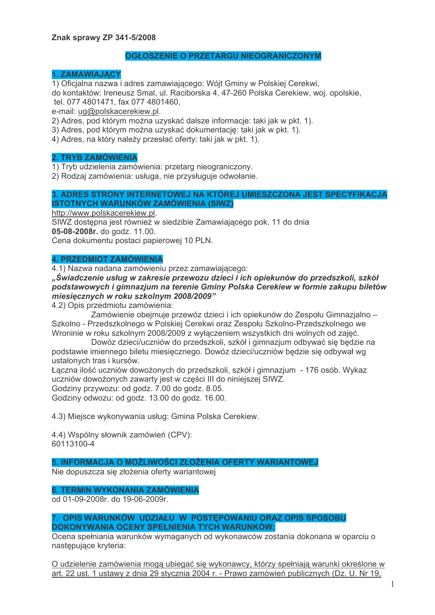# **OGŁOSZENIE O PRZETARGU NIEOGRANICZONYM**

#### **1. ZAMAWIAJACY**

1) Oficialna nazwa i adres zamawiającego: Wójt Gminy w Polskiej Cerekwi.

do kontaktów: Ireneusz Smal, ul. Raciborska 4, 47-260 Polska Cerekiew, woj. opolskie, tel. 077 4801471. fax 077 4801460.

e-mail: ug@polskacerekiew.pl.

2) Adres, pod którym można uzyskać dalsze informacie; taki jak w pkt. 1).

3) Adres, pod którym można uzyskać dokumentację: taki jak w pkt. 1).

4) Adres, na który należy przesłać oferty: taki jak w pkt. 1).

#### **2. TRYB ZAMÓWIENIA**

1) Tryb udzielenia zamówienia: przetarg nieograniczony.

2) Rodzaj zamówienia: usługa, nie przysługuje odwołanie.

# 3. ADRES STRONY INTERNETOWEJ NA KTÓREJ UMIESZCZONA JEST SPECYFIKACJA **ISTOTNYCH WARUNKÓW ZAMÓWIENIA (SIWZ)**

http://www.polskacerekiew.pl.

SIWZ dostepna jest również w siedzibie Zamawiającego pok. 11 do dnia 05-08-2008r. do godz. 11.00.

Cena dokumentu postaci papierowej 10 PLN.

## **4. PRZEDMIOT ZAMÓWIENIA**

4.1) Nazwa nadana zamówieniu przez zamawiającego:

"Świadczenie usług w zakresie przewozu dzieci i ich opiekunów do przedszkoli, szkół podstawowych i gimnazjum na terenie Gminy Polska Cerekiew w formie zakupu biletów miesięcznych w roku szkolnym 2008/2009"

4.2) Opis przedmiotu zamówienia:

Zamówienie obejmuje przewóz dzieci i ich opiekunów do Zespołu Gimnazjalno -Szkolno - Przedszkolnego w Polskiej Cerekwi oraz Zespołu Szkolno-Przedszkolnego we Wroninie w roku szkolnym 2008/2009 z wyłaczeniem wszystkich dni wolnych od zajeć.

Dowóz dzieci/uczniów do przedszkoli, szkół i gimnazium odbywać się bedzie na podstawie imiennego biletu miesiecznego. Dowóz dzieci/uczniów bedzie się odbywał wg ustalonych tras i kursów.

Łączna ilość uczniów dowożonych do przedszkoli, szkół i gimnazjum - 176 osób. Wykaz uczniów dowożonych zawarty jest w części III do niniejszej SIWZ.

Godziny przywozu: od godz. 7.00 do godz. 8.05.

Godziny odwozu: od godz. 13.00 do godz. 16.00.

4.3) Miejsce wykonywania usług: Gmina Polska Cerekiew.

4.4) Wspólny słownik zamówień (CPV): 60113100-4

### 5. INFORMACJA O MOŻLIWOŚCI ZŁOŻENIA OFERTY WARIANTOWEJ

Nie dopuszcza sie złożenia oferty wariantowej

### **6. TERMIN WYKONANIA ZAMÓWIENIA**

od 01-09-2008r. do 19-06-2009r.

### 7. OPIS WARUNKÓW UDZIAŁU W POSTEPOWANIU ORAZ OPIS SPOSOBU DOKONYWANIA OCENY SPEŁNIENIA TYCH WARUNKÓW:

Ocena spełniania warunków wymaganych od wykonawców zostania dokonana w oparciu o nastepujące kryteria:

O udzielenie zamówienia mogą ubiegać się wykonawcy, którzy spełniają warunki określone w art. 22 ust. 1 ustawy z dnia 29 stycznia 2004 r. - Prawo zamówień publicznych (Dz. U. Nr 19,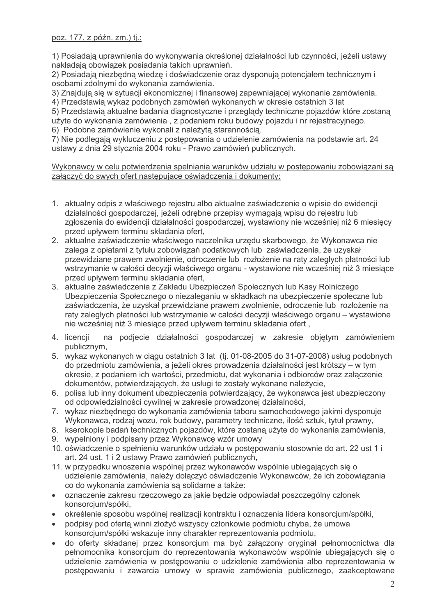poz. 177, z późn. zm.) tj.:

1) Posiadaja uprawnienia do wykonywania określonej działalności lub czynności, jeżeli ustawy nakładają obowiązek posiadania takich uprawnień.

2) Posiadają niezbędną wiedzę i doświadczenie oraz dysponują potencjałem technicznym i osobami zdolnymi do wykonania zamówienia.

3) Znajduja sie w sytuacji ekonomicznej i finansowej zapewniającej wykonanie zamówienia.

4) Przedstawia wykaz podobnych zamówień wykonanych w okresie ostatnich 3 lat

5) Przedstawią aktualne badania diagnostyczne i przeglądy techniczne pojazdów które zostaną użyte do wykonania zamówienia, z podaniem roku budowy pojazdu i nr rejestracyjnego. 6) Podobne zamówienie wykonali z należytą starannością.

7) Nie podlegają wykluczeniu z postępowania o udzielenie zamówienia na podstawie art. 24 ustawy z dnia 29 stycznia 2004 roku - Prawo zamówień publicznych.

Wykonawcy w celu potwierdzenia spełniania warunków udziału w postępowaniu zobowiązani są załączyć do swych ofert następujące oświadczenia i dokumenty:

- 1. aktualny odpis z właściwego rejestru albo aktualne zaświadczenie o wpisie do ewidencji działalności gospodarczej, jeżeli odrebne przepisy wymagają wpisu do rejestru lub zgłoszenia do ewidencji działalności gospodarczej, wystawiony nie wcześniej niż 6 miesiecy przed upływem terminu składania ofert.
- 2. aktualne zaświadczenie właściwego naczelnika urzędu skarbowego, że Wykonawca nie zalega z opłatami z tytułu zobowiązań podatkowych lub zaświadczenia, że uzyskał przewidziane prawem zwolnienie, odroczenie lub rozłożenie na raty zaległych płatności lub wstrzymanie w całości decyzii właściwego organu - wystawione nie wcześniej niż 3 miesiace przed upływem terminu składania ofert,
- 3. aktualne zaświadczenia z Zakładu Ubezpieczeń Społecznych lub Kasy Rolniczego Ubezpieczenia Społecznego o niezaleganiu w składkach na ubezpieczenie społeczne lub zaświadczenia, że uzyskał przewidziane prawem zwolnienie, odroczenie lub rozłożenie na raty zaległych płatności lub wstrzymanie w całości decyzji właściwego organu – wystawione nie wcześniej niż 3 miesiące przed upływem terminu składania ofert,
- 4. licencji na podjecie działalności gospodarczej w zakresie objętym zamówieniem publicznym.
- 5. wykaz wykonanych w ciagu ostatnich 3 lat (tj. 01-08-2005 do 31-07-2008) usług podobnych do przedmiotu zamówienia, a jeżeli okres prowadzenia działalności jest krótszy – w tym okresie, z podaniem ich wartości, przedmiotu, dat wykonania i odbiorców oraz załączenie dokumentów, potwierdzających, że usługi te zostały wykonane należycie,
- 6. polisa lub inny dokument ubezpieczenia potwierdzający, że wykonawca jest ubezpieczony od odpowiedzialności cywilnej w zakresie prowadzonej działalności,
- 7. wykaz niezbędnego do wykonania zamówienia taboru samochodowego jakimi dysponuje Wykonawca, rodzaj wozu, rok budowy, parametry techniczne, jlość sztuk, tytuł prawny,
- 8. kserokopie badań technicznych pojazdów, które zostana użyte do wykonania zamówienia,
- 9. wypełniony i podpisany przez Wykonawce wzór umowy
- 10. oświadczenie o spełnieniu warunków udziału w postepowaniu stosownie do art. 22 ust 1 i art. 24 ust. 1 i 2 ustawy Prawo zamówień publicznych,
- 11. w przypadku wnoszenia wspólnej przez wykonawców wspólnie ubiegających się o udzielenie zamówienia, należy dołączyć oświadczenie Wykonawców, że ich zobowiązania co do wykonania zamówienia sa solidarne a także:
- oznaczenie zakresu rzeczowego za jakie bedzie odpowiadał poszczególny członek konsorcjum/spółki,
- określenie sposobu wspólnej realizacji kontraktu i oznaczenia lidera konsorcjum/spółki,
- podpisy pod oferta winni złożyć wszyscy członkowie podmiotu chyba, że umowa konsorcjum/spółki wskazuje inny charakter reprezentowania podmiotu,
- do oferty składanej przez konsorcjum ma być załączony oryginał pełnomocnictwa dla pełnomocnika konsorcjum do reprezentowania wykonawców wspólnie ubiegających się o udzielenie zamówienia w postępowaniu o udzielenie zamówienia albo reprezentowania w postępowaniu i zawarcia umowy w sprawie zamówienia publicznego, zaakceptowane